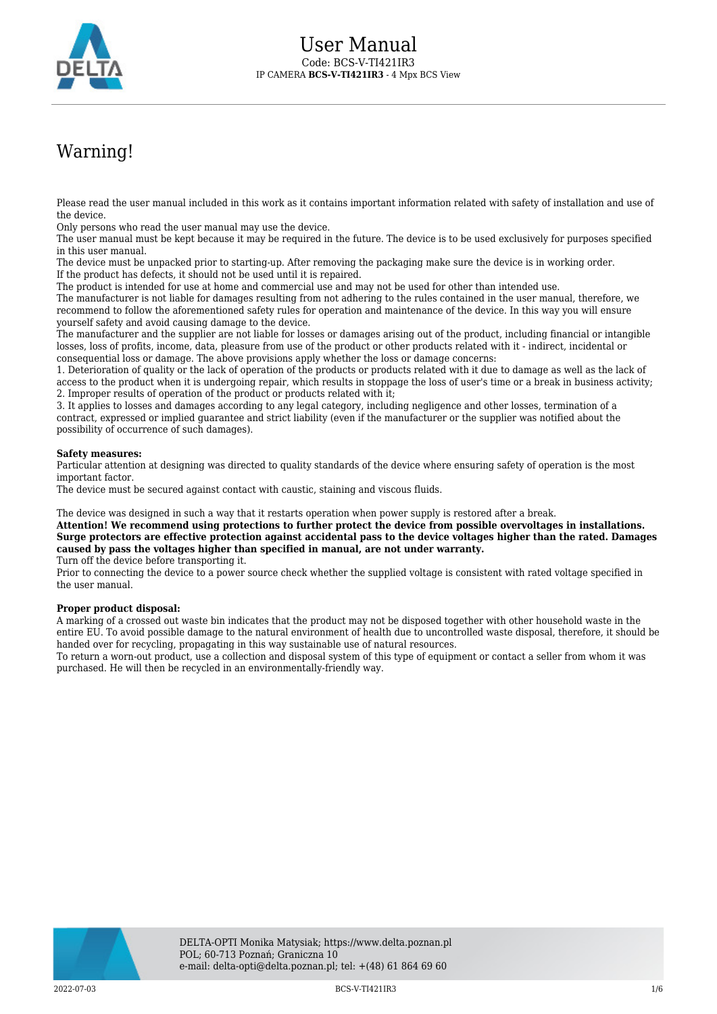

## Warning!

Please read the user manual included in this work as it contains important information related with safety of installation and use of the device.

Only persons who read the user manual may use the device.

The user manual must be kept because it may be required in the future. The device is to be used exclusively for purposes specified in this user manual.

The device must be unpacked prior to starting-up. After removing the packaging make sure the device is in working order. If the product has defects, it should not be used until it is repaired.

The product is intended for use at home and commercial use and may not be used for other than intended use.

The manufacturer is not liable for damages resulting from not adhering to the rules contained in the user manual, therefore, we recommend to follow the aforementioned safety rules for operation and maintenance of the device. In this way you will ensure yourself safety and avoid causing damage to the device.

The manufacturer and the supplier are not liable for losses or damages arising out of the product, including financial or intangible losses, loss of profits, income, data, pleasure from use of the product or other products related with it - indirect, incidental or consequential loss or damage. The above provisions apply whether the loss or damage concerns:

1. Deterioration of quality or the lack of operation of the products or products related with it due to damage as well as the lack of access to the product when it is undergoing repair, which results in stoppage the loss of user's time or a break in business activity; 2. Improper results of operation of the product or products related with it;

3. It applies to losses and damages according to any legal category, including negligence and other losses, termination of a contract, expressed or implied guarantee and strict liability (even if the manufacturer or the supplier was notified about the possibility of occurrence of such damages).

## **Safety measures:**

Particular attention at designing was directed to quality standards of the device where ensuring safety of operation is the most important factor.

The device must be secured against contact with caustic, staining and viscous fluids.

The device was designed in such a way that it restarts operation when power supply is restored after a break.

**Attention! We recommend using protections to further protect the device from possible overvoltages in installations. Surge protectors are effective protection against accidental pass to the device voltages higher than the rated. Damages caused by pass the voltages higher than specified in manual, are not under warranty.**

Turn off the device before transporting it.

Prior to connecting the device to a power source check whether the supplied voltage is consistent with rated voltage specified in the user manual.

## **Proper product disposal:**

A marking of a crossed out waste bin indicates that the product may not be disposed together with other household waste in the entire EU. To avoid possible damage to the natural environment of health due to uncontrolled waste disposal, therefore, it should be handed over for recycling, propagating in this way sustainable use of natural resources.

To return a worn-out product, use a collection and disposal system of this type of equipment or contact a seller from whom it was purchased. He will then be recycled in an environmentally-friendly way.

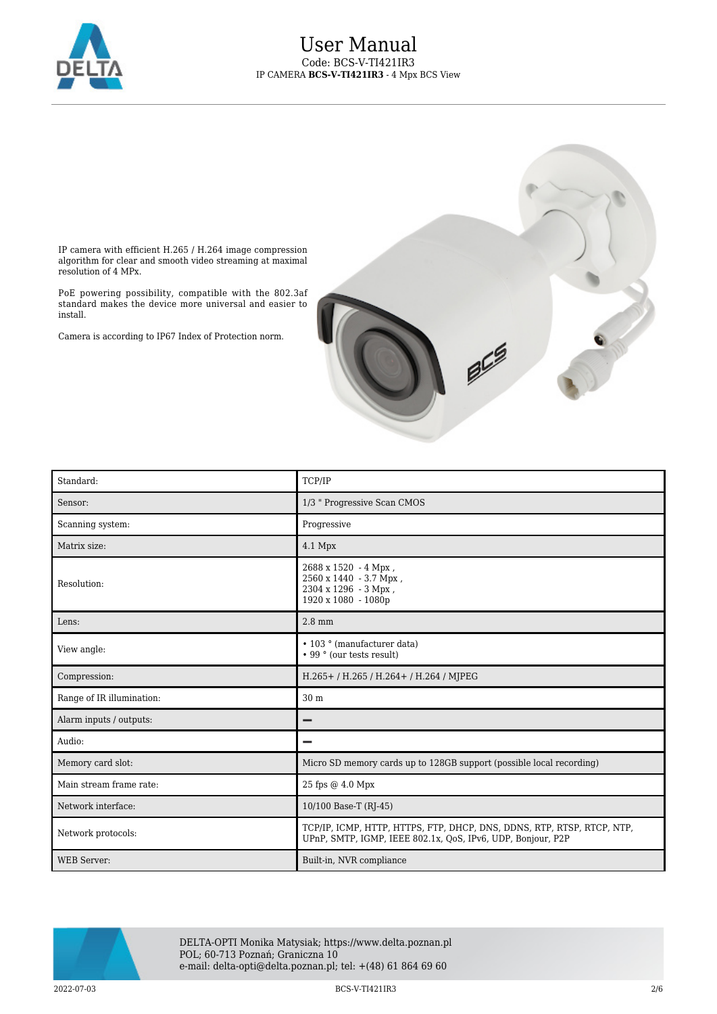



IP camera with efficient H.265 / H.264 image compression algorithm for clear and smooth video streaming at maximal resolution of 4 MPx.

PoE powering possibility, compatible with the 802.3af standard makes the device more universal and easier to install.

Camera is according to IP67 Index of Protection norm.

| Standard:                 | <b>TCP/IP</b>                                                                                                                         |
|---------------------------|---------------------------------------------------------------------------------------------------------------------------------------|
| Sensor:                   | 1/3 " Progressive Scan CMOS                                                                                                           |
| Scanning system:          | Progressive                                                                                                                           |
| Matrix size:              | $4.1$ Mpx                                                                                                                             |
| Resolution:               | $2688 \times 1520 - 4$ Mpx,<br>2560 x 1440 - 3.7 Mpx,<br>2304 x 1296 - 3 Mpx,<br>1920 x 1080 - 1080p                                  |
| Lens:                     | $2.8 \text{ mm}$                                                                                                                      |
| View angle:               | • 103 ° (manufacturer data)<br>• 99 ° (our tests result)                                                                              |
| Compression:              | H.265+/H.265/H.264+/H.264/MJPEG                                                                                                       |
| Range of IR illumination: | 30 <sub>m</sub>                                                                                                                       |
| Alarm inputs / outputs:   |                                                                                                                                       |
| Audio:                    |                                                                                                                                       |
| Memory card slot:         | Micro SD memory cards up to 128GB support (possible local recording)                                                                  |
| Main stream frame rate:   | 25 fps @ 4.0 Mpx                                                                                                                      |
| Network interface:        | 10/100 Base-T (RJ-45)                                                                                                                 |
| Network protocols:        | TCP/IP, ICMP, HTTP, HTTPS, FTP, DHCP, DNS, DDNS, RTP, RTSP, RTCP, NTP,<br>UPnP, SMTP, IGMP, IEEE 802.1x, QoS, IPv6, UDP, Bonjour, P2P |
| <b>WEB</b> Server:        | Built-in, NVR compliance                                                                                                              |



DELTA-OPTI Monika Matysiak; https://www.delta.poznan.pl POL; 60-713 Poznań; Graniczna 10 e-mail: delta-opti@delta.poznan.pl; tel: +(48) 61 864 69 60

2022-07-03 BCS-V-TI421IR3 2/6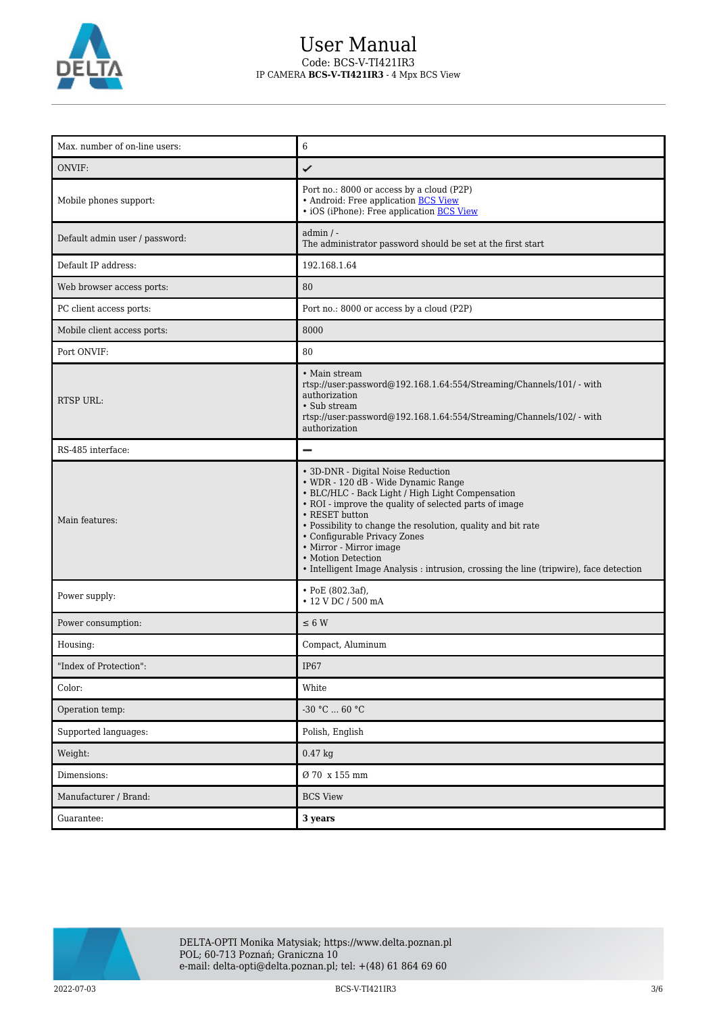

## User Manual Code: BCS-V-TI421IR3 IP CAMERA **BCS-V-TI421IR3** - 4 Mpx BCS View

| Max. number of on-line users:  | 6                                                                                                                                                                                                                                                                                                                                                                                                                                                    |
|--------------------------------|------------------------------------------------------------------------------------------------------------------------------------------------------------------------------------------------------------------------------------------------------------------------------------------------------------------------------------------------------------------------------------------------------------------------------------------------------|
| ONVIF:                         | ✓                                                                                                                                                                                                                                                                                                                                                                                                                                                    |
| Mobile phones support:         | Port no.: 8000 or access by a cloud (P2P)<br>• Android: Free application BCS View<br>• iOS (iPhone): Free application <b>BCS View</b>                                                                                                                                                                                                                                                                                                                |
| Default admin user / password: | $admin / -$<br>The administrator password should be set at the first start                                                                                                                                                                                                                                                                                                                                                                           |
| Default IP address:            | 192.168.1.64                                                                                                                                                                                                                                                                                                                                                                                                                                         |
| Web browser access ports:      | 80                                                                                                                                                                                                                                                                                                                                                                                                                                                   |
| PC client access ports:        | Port no.: 8000 or access by a cloud (P2P)                                                                                                                                                                                                                                                                                                                                                                                                            |
| Mobile client access ports:    | 8000                                                                                                                                                                                                                                                                                                                                                                                                                                                 |
| Port ONVIF:                    | 80                                                                                                                                                                                                                                                                                                                                                                                                                                                   |
| <b>RTSP URL:</b>               | • Main stream<br>rtsp://user:password@192.168.1.64:554/Streaming/Channels/101/ - with<br>authorization<br>• Sub stream<br>rtsp://user:password@192.168.1.64:554/Streaming/Channels/102/ - with<br>authorization                                                                                                                                                                                                                                      |
| RS-485 interface:              | $\overline{\phantom{0}}$                                                                                                                                                                                                                                                                                                                                                                                                                             |
| Main features:                 | • 3D-DNR - Digital Noise Reduction<br>• WDR - 120 dB - Wide Dynamic Range<br>• BLC/HLC - Back Light / High Light Compensation<br>• ROI - improve the quality of selected parts of image<br>• RESET button<br>• Possibility to change the resolution, quality and bit rate<br>• Configurable Privacy Zones<br>• Mirror - Mirror image<br>• Motion Detection<br>• Intelligent Image Analysis : intrusion, crossing the line (tripwire), face detection |
| Power supply:                  | $\cdot$ PoE (802.3af),<br>• 12 V DC / 500 mA                                                                                                                                                                                                                                                                                                                                                                                                         |
| Power consumption:             | $\leq 6$ W                                                                                                                                                                                                                                                                                                                                                                                                                                           |
| Housing:                       | Compact, Aluminum                                                                                                                                                                                                                                                                                                                                                                                                                                    |
| "Index of Protection":         | IP67                                                                                                                                                                                                                                                                                                                                                                                                                                                 |
| Color:                         | White                                                                                                                                                                                                                                                                                                                                                                                                                                                |
| Operation temp:                | -30 °C $\ldots$ 60 °C                                                                                                                                                                                                                                                                                                                                                                                                                                |
| Supported languages:           | Polish, English                                                                                                                                                                                                                                                                                                                                                                                                                                      |
| Weight:                        | $0.47$ kg                                                                                                                                                                                                                                                                                                                                                                                                                                            |
| Dimensions:                    | Ø 70 x 155 mm                                                                                                                                                                                                                                                                                                                                                                                                                                        |
| Manufacturer / Brand:          | <b>BCS View</b>                                                                                                                                                                                                                                                                                                                                                                                                                                      |
| Guarantee:                     | 3 years                                                                                                                                                                                                                                                                                                                                                                                                                                              |



2022-07-03 BCS-V-TI421IR3 3/6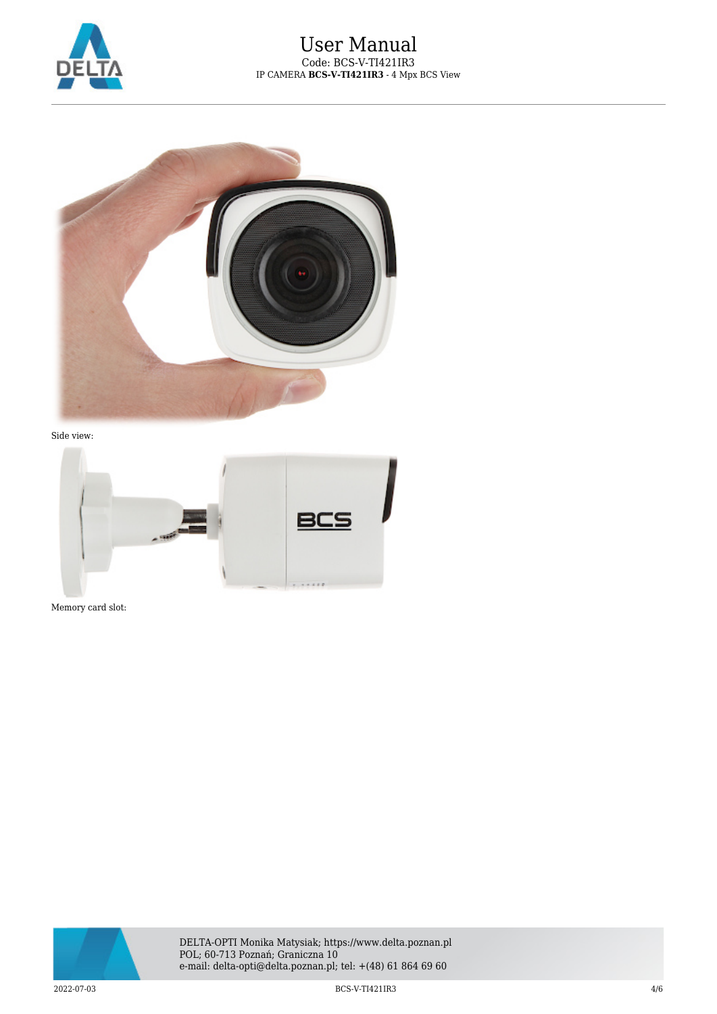



Side view:



Memory card slot:

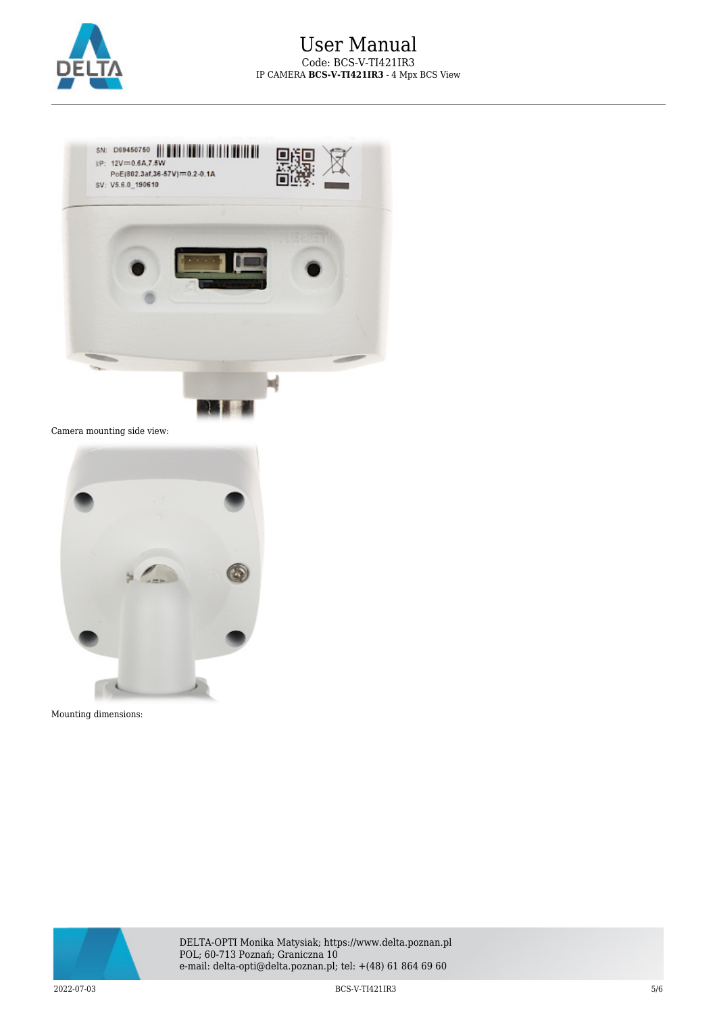



Camera mounting side view:



Mounting dimensions:



DELTA-OPTI Monika Matysiak; https://www.delta.poznan.pl POL; 60-713 Poznań; Graniczna 10 e-mail: delta-opti@delta.poznan.pl; tel: +(48) 61 864 69 60

2022-07-03 BCS-V-TI421IR3 5/6